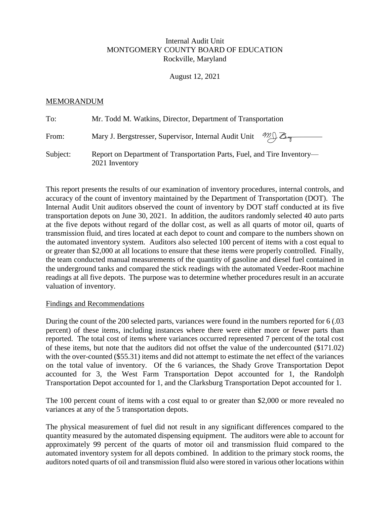## Internal Audit Unit MONTGOMERY COUNTY BOARD OF EDUCATION Rockville, Maryland

August 12, 2021

## MEMORANDUM

| To:      | Mr. Todd M. Watkins, Director, Department of Transportation                               |
|----------|-------------------------------------------------------------------------------------------|
| From:    | Mary J. Bergstresser, Supervisor, Internal Audit Unit $\mathcal{M}_{\text{max}}$          |
| Subject: | Report on Department of Transportation Parts, Fuel, and Tire Inventory—<br>2021 Inventory |

This report presents the results of our examination of inventory procedures, internal controls, and accuracy of the count of inventory maintained by the Department of Transportation (DOT). The Internal Audit Unit auditors observed the count of inventory by DOT staff conducted at its five transportation depots on June 30, 2021. In addition, the auditors randomly selected 40 auto parts at the five depots without regard of the dollar cost, as well as all quarts of motor oil, quarts of transmission fluid, and tires located at each depot to count and compare to the numbers shown on the automated inventory system. Auditors also selected 100 percent of items with a cost equal to or greater than \$2,000 at all locations to ensure that these items were properly controlled. Finally, the team conducted manual measurements of the quantity of gasoline and diesel fuel contained in the underground tanks and compared the stick readings with the automated Veeder-Root machine readings at all five depots. The purpose was to determine whether procedures result in an accurate valuation of inventory.

## Findings and Recommendations

During the count of the 200 selected parts, variances were found in the numbers reported for 6 (.03 percent) of these items, including instances where there were either more or fewer parts than reported. The total cost of items where variances occurred represented 7 percent of the total cost of these items, but note that the auditors did not offset the value of the undercounted (\$171.02) with the over-counted (\$55.31) items and did not attempt to estimate the net effect of the variances on the total value of inventory. Of the 6 variances, the Shady Grove Transportation Depot accounted for 3, the West Farm Transportation Depot accounted for 1, the Randolph Transportation Depot accounted for 1, and the Clarksburg Transportation Depot accounted for 1.

The 100 percent count of items with a cost equal to or greater than \$2,000 or more revealed no variances at any of the 5 transportation depots.

The physical measurement of fuel did not result in any significant differences compared to the quantity measured by the automated dispensing equipment. The auditors were able to account for approximately 99 percent of the quarts of motor oil and transmission fluid compared to the automated inventory system for all depots combined. In addition to the primary stock rooms, the auditors noted quarts of oil and transmission fluid also were stored in various other locations within